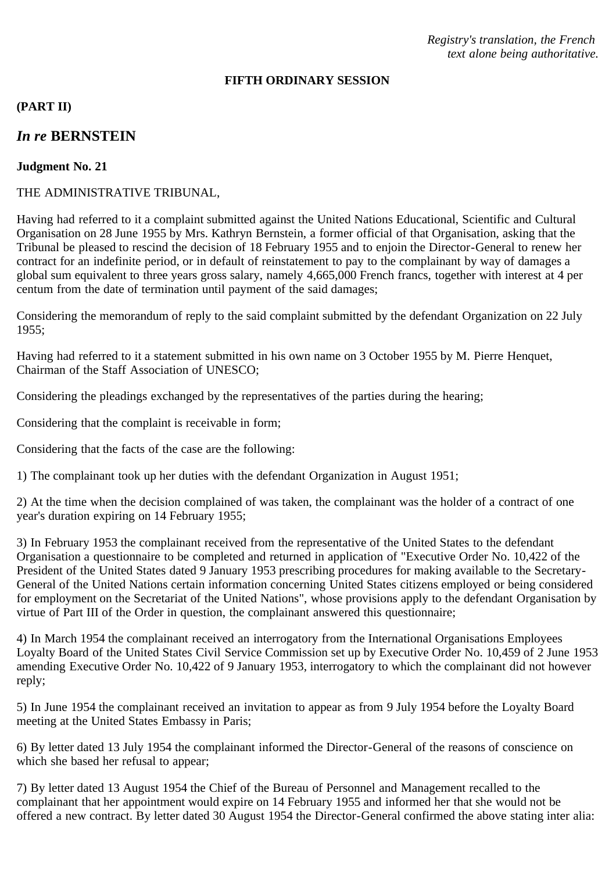*Registry's translation, the French text alone being authoritative.*

#### **FIFTH ORDINARY SESSION**

## **(PART II)**

# *In re* **BERNSTEIN**

### **Judgment No. 21**

#### THE ADMINISTRATIVE TRIBUNAL,

Having had referred to it a complaint submitted against the United Nations Educational, Scientific and Cultural Organisation on 28 June 1955 by Mrs. Kathryn Bernstein, a former official of that Organisation, asking that the Tribunal be pleased to rescind the decision of 18 February 1955 and to enjoin the Director-General to renew her contract for an indefinite period, or in default of reinstatement to pay to the complainant by way of damages a global sum equivalent to three years gross salary, namely 4,665,000 French francs, together with interest at 4 per centum from the date of termination until payment of the said damages;

Considering the memorandum of reply to the said complaint submitted by the defendant Organization on 22 July 1955;

Having had referred to it a statement submitted in his own name on 3 October 1955 by M. Pierre Henquet, Chairman of the Staff Association of UNESCO;

Considering the pleadings exchanged by the representatives of the parties during the hearing;

Considering that the complaint is receivable in form;

Considering that the facts of the case are the following:

1) The complainant took up her duties with the defendant Organization in August 1951;

2) At the time when the decision complained of was taken, the complainant was the holder of a contract of one year's duration expiring on 14 February 1955;

3) In February 1953 the complainant received from the representative of the United States to the defendant Organisation a questionnaire to be completed and returned in application of "Executive Order No. 10,422 of the President of the United States dated 9 January 1953 prescribing procedures for making available to the Secretary-General of the United Nations certain information concerning United States citizens employed or being considered for employment on the Secretariat of the United Nations", whose provisions apply to the defendant Organisation by virtue of Part III of the Order in question, the complainant answered this questionnaire;

4) In March 1954 the complainant received an interrogatory from the International Organisations Employees Loyalty Board of the United States Civil Service Commission set up by Executive Order No. 10,459 of 2 June 1953 amending Executive Order No. 10,422 of 9 January 1953, interrogatory to which the complainant did not however reply;

5) In June 1954 the complainant received an invitation to appear as from 9 July 1954 before the Loyalty Board meeting at the United States Embassy in Paris;

6) By letter dated 13 July 1954 the complainant informed the Director-General of the reasons of conscience on which she based her refusal to appear;

7) By letter dated 13 August 1954 the Chief of the Bureau of Personnel and Management recalled to the complainant that her appointment would expire on 14 February 1955 and informed her that she would not be offered a new contract. By letter dated 30 August 1954 the Director-General confirmed the above stating inter alia: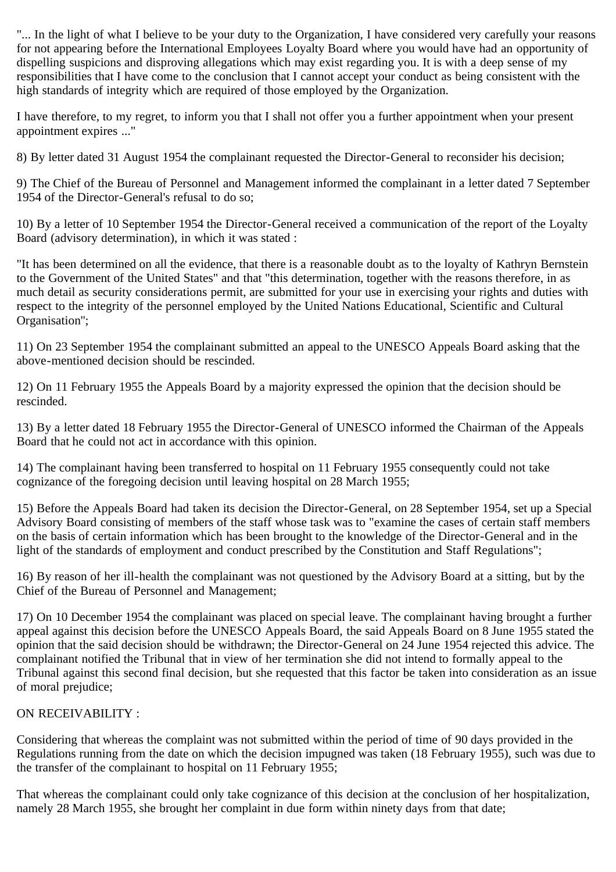"... In the light of what I believe to be your duty to the Organization, I have considered very carefully your reasons for not appearing before the International Employees Loyalty Board where you would have had an opportunity of dispelling suspicions and disproving allegations which may exist regarding you. It is with a deep sense of my responsibilities that I have come to the conclusion that I cannot accept your conduct as being consistent with the high standards of integrity which are required of those employed by the Organization.

I have therefore, to my regret, to inform you that I shall not offer you a further appointment when your present appointment expires ..."

8) By letter dated 31 August 1954 the complainant requested the Director-General to reconsider his decision;

9) The Chief of the Bureau of Personnel and Management informed the complainant in a letter dated 7 September 1954 of the Director-General's refusal to do so;

10) By a letter of 10 September 1954 the Director-General received a communication of the report of the Loyalty Board (advisory determination), in which it was stated :

"It has been determined on all the evidence, that there is a reasonable doubt as to the loyalty of Kathryn Bernstein to the Government of the United States" and that "this determination, together with the reasons therefore, in as much detail as security considerations permit, are submitted for your use in exercising your rights and duties with respect to the integrity of the personnel employed by the United Nations Educational, Scientific and Cultural Organisation'';

11) On 23 September 1954 the complainant submitted an appeal to the UNESCO Appeals Board asking that the above-mentioned decision should be rescinded.

12) On 11 February 1955 the Appeals Board by a majority expressed the opinion that the decision should be rescinded.

13) By a letter dated 18 February 1955 the Director-General of UNESCO informed the Chairman of the Appeals Board that he could not act in accordance with this opinion.

14) The complainant having been transferred to hospital on 11 February 1955 consequently could not take cognizance of the foregoing decision until leaving hospital on 28 March 1955;

15) Before the Appeals Board had taken its decision the Director-General, on 28 September 1954, set up a Special Advisory Board consisting of members of the staff whose task was to "examine the cases of certain staff members on the basis of certain information which has been brought to the knowledge of the Director-General and in the light of the standards of employment and conduct prescribed by the Constitution and Staff Regulations";

16) By reason of her ill-health the complainant was not questioned by the Advisory Board at a sitting, but by the Chief of the Bureau of Personnel and Management;

17) On 10 December 1954 the complainant was placed on special leave. The complainant having brought a further appeal against this decision before the UNESCO Appeals Board, the said Appeals Board on 8 June 1955 stated the opinion that the said decision should be withdrawn; the Director-General on 24 June 1954 rejected this advice. The complainant notified the Tribunal that in view of her termination she did not intend to formally appeal to the Tribunal against this second final decision, but she requested that this factor be taken into consideration as an issue of moral prejudice;

## ON RECEIVABILITY :

Considering that whereas the complaint was not submitted within the period of time of 90 days provided in the Regulations running from the date on which the decision impugned was taken (18 February 1955), such was due to the transfer of the complainant to hospital on 11 February 1955;

That whereas the complainant could only take cognizance of this decision at the conclusion of her hospitalization, namely 28 March 1955, she brought her complaint in due form within ninety days from that date;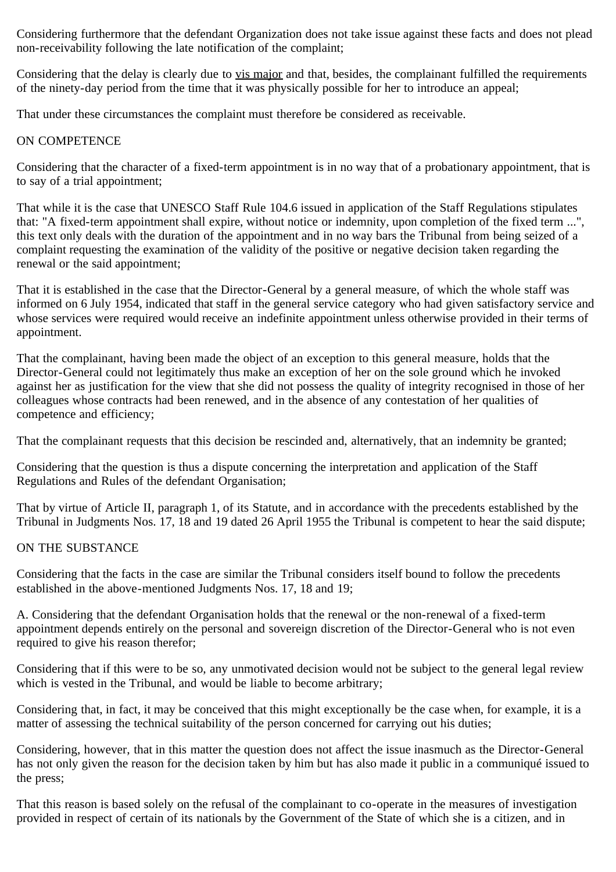Considering furthermore that the defendant Organization does not take issue against these facts and does not plead non-receivability following the late notification of the complaint;

Considering that the delay is clearly due to vis major and that, besides, the complainant fulfilled the requirements of the ninety-day period from the time that it was physically possible for her to introduce an appeal;

That under these circumstances the complaint must therefore be considered as receivable.

# ON COMPETENCE

Considering that the character of a fixed-term appointment is in no way that of a probationary appointment, that is to say of a trial appointment;

That while it is the case that UNESCO Staff Rule 104.6 issued in application of the Staff Regulations stipulates that: "A fixed-term appointment shall expire, without notice or indemnity, upon completion of the fixed term ...", this text only deals with the duration of the appointment and in no way bars the Tribunal from being seized of a complaint requesting the examination of the validity of the positive or negative decision taken regarding the renewal or the said appointment;

That it is established in the case that the Director-General by a general measure, of which the whole staff was informed on 6 July 1954, indicated that staff in the general service category who had given satisfactory service and whose services were required would receive an indefinite appointment unless otherwise provided in their terms of appointment.

That the complainant, having been made the object of an exception to this general measure, holds that the Director-General could not legitimately thus make an exception of her on the sole ground which he invoked against her as justification for the view that she did not possess the quality of integrity recognised in those of her colleagues whose contracts had been renewed, and in the absence of any contestation of her qualities of competence and efficiency;

That the complainant requests that this decision be rescinded and, alternatively, that an indemnity be granted;

Considering that the question is thus a dispute concerning the interpretation and application of the Staff Regulations and Rules of the defendant Organisation;

That by virtue of Article II, paragraph 1, of its Statute, and in accordance with the precedents established by the Tribunal in Judgments Nos. 17, 18 and 19 dated 26 April 1955 the Tribunal is competent to hear the said dispute;

## ON THE SUBSTANCE

Considering that the facts in the case are similar the Tribunal considers itself bound to follow the precedents established in the above-mentioned Judgments Nos. 17, 18 and 19;

A. Considering that the defendant Organisation holds that the renewal or the non-renewal of a fixed-term appointment depends entirely on the personal and sovereign discretion of the Director-General who is not even required to give his reason therefor;

Considering that if this were to be so, any unmotivated decision would not be subject to the general legal review which is vested in the Tribunal, and would be liable to become arbitrary;

Considering that, in fact, it may be conceived that this might exceptionally be the case when, for example, it is a matter of assessing the technical suitability of the person concerned for carrying out his duties;

Considering, however, that in this matter the question does not affect the issue inasmuch as the Director-General has not only given the reason for the decision taken by him but has also made it public in a communiqué issued to the press;

That this reason is based solely on the refusal of the complainant to co-operate in the measures of investigation provided in respect of certain of its nationals by the Government of the State of which she is a citizen, and in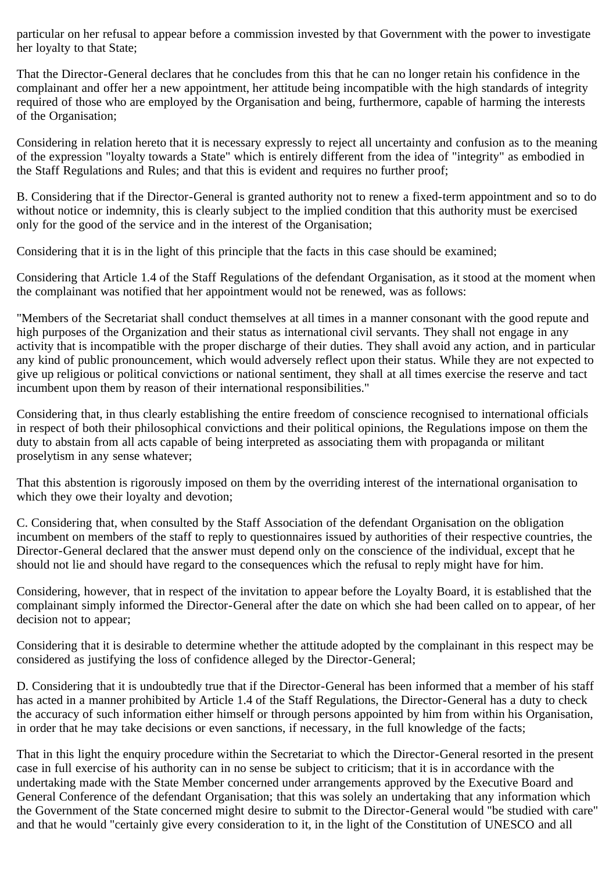particular on her refusal to appear before a commission invested by that Government with the power to investigate her loyalty to that State;

That the Director-General declares that he concludes from this that he can no longer retain his confidence in the complainant and offer her a new appointment, her attitude being incompatible with the high standards of integrity required of those who are employed by the Organisation and being, furthermore, capable of harming the interests of the Organisation;

Considering in relation hereto that it is necessary expressly to reject all uncertainty and confusion as to the meaning of the expression "loyalty towards a State" which is entirely different from the idea of "integrity" as embodied in the Staff Regulations and Rules; and that this is evident and requires no further proof;

B. Considering that if the Director-General is granted authority not to renew a fixed-term appointment and so to do without notice or indemnity, this is clearly subject to the implied condition that this authority must be exercised only for the good of the service and in the interest of the Organisation;

Considering that it is in the light of this principle that the facts in this case should be examined;

Considering that Article 1.4 of the Staff Regulations of the defendant Organisation, as it stood at the moment when the complainant was notified that her appointment would not be renewed, was as follows:

"Members of the Secretariat shall conduct themselves at all times in a manner consonant with the good repute and high purposes of the Organization and their status as international civil servants. They shall not engage in any activity that is incompatible with the proper discharge of their duties. They shall avoid any action, and in particular any kind of public pronouncement, which would adversely reflect upon their status. While they are not expected to give up religious or political convictions or national sentiment, they shall at all times exercise the reserve and tact incumbent upon them by reason of their international responsibilities."

Considering that, in thus clearly establishing the entire freedom of conscience recognised to international officials in respect of both their philosophical convictions and their political opinions, the Regulations impose on them the duty to abstain from all acts capable of being interpreted as associating them with propaganda or militant proselytism in any sense whatever;

That this abstention is rigorously imposed on them by the overriding interest of the international organisation to which they owe their loyalty and devotion;

C. Considering that, when consulted by the Staff Association of the defendant Organisation on the obligation incumbent on members of the staff to reply to questionnaires issued by authorities of their respective countries, the Director-General declared that the answer must depend only on the conscience of the individual, except that he should not lie and should have regard to the consequences which the refusal to reply might have for him.

Considering, however, that in respect of the invitation to appear before the Loyalty Board, it is established that the complainant simply informed the Director-General after the date on which she had been called on to appear, of her decision not to appear;

Considering that it is desirable to determine whether the attitude adopted by the complainant in this respect may be considered as justifying the loss of confidence alleged by the Director-General;

D. Considering that it is undoubtedly true that if the Director-General has been informed that a member of his staff has acted in a manner prohibited by Article 1.4 of the Staff Regulations, the Director-General has a duty to check the accuracy of such information either himself or through persons appointed by him from within his Organisation, in order that he may take decisions or even sanctions, if necessary, in the full knowledge of the facts;

That in this light the enquiry procedure within the Secretariat to which the Director-General resorted in the present case in full exercise of his authority can in no sense be subject to criticism; that it is in accordance with the undertaking made with the State Member concerned under arrangements approved by the Executive Board and General Conference of the defendant Organisation; that this was solely an undertaking that any information which the Government of the State concerned might desire to submit to the Director-General would "be studied with care" and that he would "certainly give every consideration to it, in the light of the Constitution of UNESCO and all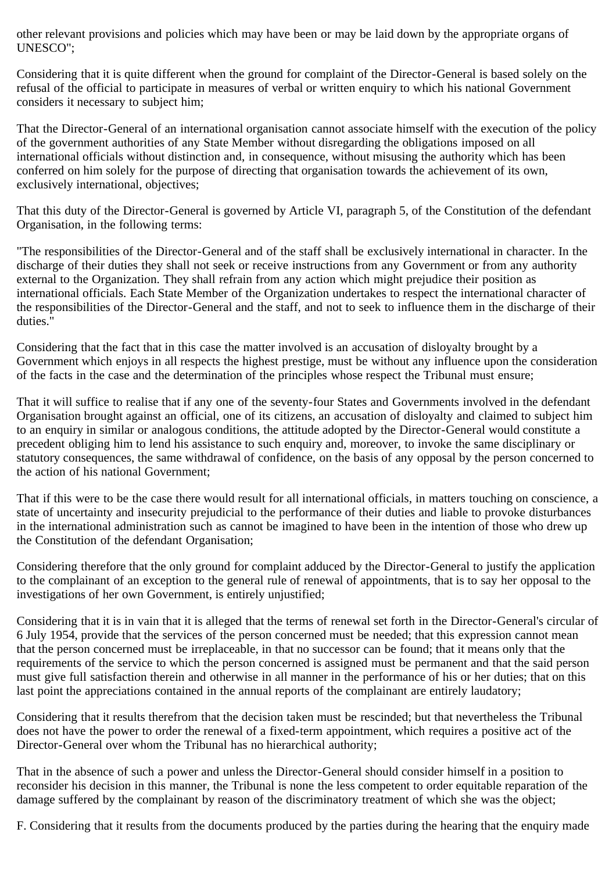other relevant provisions and policies which may have been or may be laid down by the appropriate organs of UNESCO";

Considering that it is quite different when the ground for complaint of the Director-General is based solely on the refusal of the official to participate in measures of verbal or written enquiry to which his national Government considers it necessary to subject him;

That the Director-General of an international organisation cannot associate himself with the execution of the policy of the government authorities of any State Member without disregarding the obligations imposed on all international officials without distinction and, in consequence, without misusing the authority which has been conferred on him solely for the purpose of directing that organisation towards the achievement of its own, exclusively international, objectives;

That this duty of the Director-General is governed by Article VI, paragraph 5, of the Constitution of the defendant Organisation, in the following terms:

"The responsibilities of the Director-General and of the staff shall be exclusively international in character. In the discharge of their duties they shall not seek or receive instructions from any Government or from any authority external to the Organization. They shall refrain from any action which might prejudice their position as international officials. Each State Member of the Organization undertakes to respect the international character of the responsibilities of the Director-General and the staff, and not to seek to influence them in the discharge of their duties."

Considering that the fact that in this case the matter involved is an accusation of disloyalty brought by a Government which enjoys in all respects the highest prestige, must be without any influence upon the consideration of the facts in the case and the determination of the principles whose respect the Tribunal must ensure;

That it will suffice to realise that if any one of the seventy-four States and Governments involved in the defendant Organisation brought against an official, one of its citizens, an accusation of disloyalty and claimed to subject him to an enquiry in similar or analogous conditions, the attitude adopted by the Director-General would constitute a precedent obliging him to lend his assistance to such enquiry and, moreover, to invoke the same disciplinary or statutory consequences, the same withdrawal of confidence, on the basis of any opposal by the person concerned to the action of his national Government;

That if this were to be the case there would result for all international officials, in matters touching on conscience, a state of uncertainty and insecurity prejudicial to the performance of their duties and liable to provoke disturbances in the international administration such as cannot be imagined to have been in the intention of those who drew up the Constitution of the defendant Organisation;

Considering therefore that the only ground for complaint adduced by the Director-General to justify the application to the complainant of an exception to the general rule of renewal of appointments, that is to say her opposal to the investigations of her own Government, is entirely unjustified;

Considering that it is in vain that it is alleged that the terms of renewal set forth in the Director-General's circular of 6 July 1954, provide that the services of the person concerned must be needed; that this expression cannot mean that the person concerned must be irreplaceable, in that no successor can be found; that it means only that the requirements of the service to which the person concerned is assigned must be permanent and that the said person must give full satisfaction therein and otherwise in all manner in the performance of his or her duties; that on this last point the appreciations contained in the annual reports of the complainant are entirely laudatory;

Considering that it results therefrom that the decision taken must be rescinded; but that nevertheless the Tribunal does not have the power to order the renewal of a fixed-term appointment, which requires a positive act of the Director-General over whom the Tribunal has no hierarchical authority;

That in the absence of such a power and unless the Director-General should consider himself in a position to reconsider his decision in this manner, the Tribunal is none the less competent to order equitable reparation of the damage suffered by the complainant by reason of the discriminatory treatment of which she was the object;

F. Considering that it results from the documents produced by the parties during the hearing that the enquiry made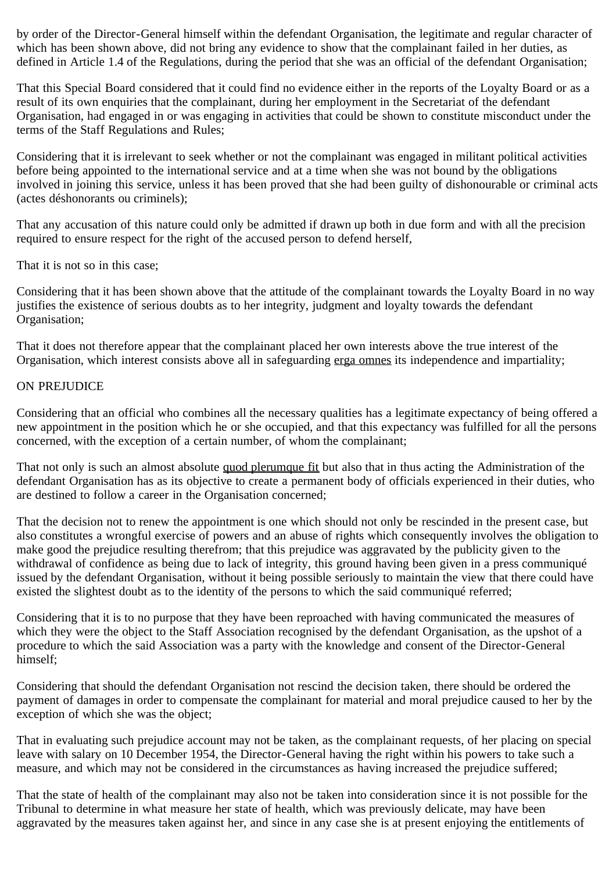by order of the Director-General himself within the defendant Organisation, the legitimate and regular character of which has been shown above, did not bring any evidence to show that the complainant failed in her duties, as defined in Article 1.4 of the Regulations, during the period that she was an official of the defendant Organisation;

That this Special Board considered that it could find no evidence either in the reports of the Loyalty Board or as a result of its own enquiries that the complainant, during her employment in the Secretariat of the defendant Organisation, had engaged in or was engaging in activities that could be shown to constitute misconduct under the terms of the Staff Regulations and Rules;

Considering that it is irrelevant to seek whether or not the complainant was engaged in militant political activities before being appointed to the international service and at a time when she was not bound by the obligations involved in joining this service, unless it has been proved that she had been guilty of dishonourable or criminal acts (actes déshonorants ou criminels);

That any accusation of this nature could only be admitted if drawn up both in due form and with all the precision required to ensure respect for the right of the accused person to defend herself,

That it is not so in this case;

Considering that it has been shown above that the attitude of the complainant towards the Loyalty Board in no way justifies the existence of serious doubts as to her integrity, judgment and loyalty towards the defendant Organisation;

That it does not therefore appear that the complainant placed her own interests above the true interest of the Organisation, which interest consists above all in safeguarding erga omnes its independence and impartiality;

### ON PREJUDICE

Considering that an official who combines all the necessary qualities has a legitimate expectancy of being offered a new appointment in the position which he or she occupied, and that this expectancy was fulfilled for all the persons concerned, with the exception of a certain number, of whom the complainant;

That not only is such an almost absolute quod plerumque fit but also that in thus acting the Administration of the defendant Organisation has as its objective to create a permanent body of officials experienced in their duties, who are destined to follow a career in the Organisation concerned;

That the decision not to renew the appointment is one which should not only be rescinded in the present case, but also constitutes a wrongful exercise of powers and an abuse of rights which consequently involves the obligation to make good the prejudice resulting therefrom; that this prejudice was aggravated by the publicity given to the withdrawal of confidence as being due to lack of integrity, this ground having been given in a press communiqué issued by the defendant Organisation, without it being possible seriously to maintain the view that there could have existed the slightest doubt as to the identity of the persons to which the said communiqué referred;

Considering that it is to no purpose that they have been reproached with having communicated the measures of which they were the object to the Staff Association recognised by the defendant Organisation, as the upshot of a procedure to which the said Association was a party with the knowledge and consent of the Director-General himself;

Considering that should the defendant Organisation not rescind the decision taken, there should be ordered the payment of damages in order to compensate the complainant for material and moral prejudice caused to her by the exception of which she was the object;

That in evaluating such prejudice account may not be taken, as the complainant requests, of her placing on special leave with salary on 10 December 1954, the Director-General having the right within his powers to take such a measure, and which may not be considered in the circumstances as having increased the prejudice suffered;

That the state of health of the complainant may also not be taken into consideration since it is not possible for the Tribunal to determine in what measure her state of health, which was previously delicate, may have been aggravated by the measures taken against her, and since in any case she is at present enjoying the entitlements of